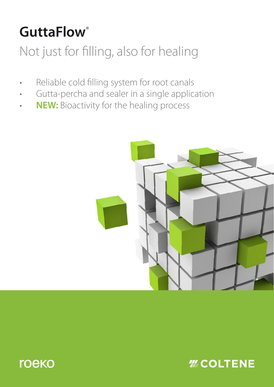# **GuttaFlow**®

# Not just for filling, also for healing

- Reliable cold filling system for root canals
- Gutta-percha and sealer in a single application
- **NEW:** Bioactivity for the healing process





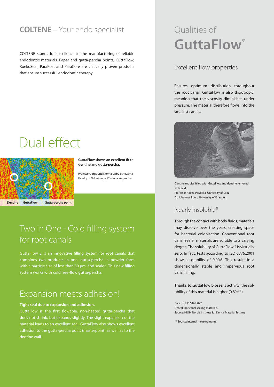## **COLTENE** – Your endo specialist

COLTENE stands for excellence in the manufacturing of reliable endodontic materials. Paper and gutta-percha points, GuttaFlow, RoekoSeal, ParaPost and ParaCore are clinically proven products that ensure successful endodontic therapy.

# Dual effect



**GuttaFlow shows an excellent fit to dentine and gutta-percha.**

Professor Jorge and Norma Uribe Echevarría, Faculty of Odontology, Córdoba, Argentina

```
Dentine GuttaFlow Gutta-percha point
```
# Two in One - Cold filling system for root canals

GuttaFlow 2 is an innovative filling system for root canals that combines two products in one: gutta-percha in powder form with a particle size of less than 30 µm, and sealer. This new filling system works with cold free-flow gutta-percha.

## Expansion meets adhesion!

#### **Tight seal due to expansion and adhesion.**

GuttaFlow is the first flowable, non-heated gutta-percha that does not shrink, but expands slightly. The slight expansion of the material leads to an excellent seal. GuttaFlow also shows excellent adhesion to the gutta-percha point (masterpoint) as well as to the dentine wall.

# Qualities of **GuttaFlow**®

### Excellent flow properties

Ensures optimum distribution throughout the root canal. GuttaFlow is also thixotropic, meaning that the viscosity diminishes under pressure. The material therefore flows into the smallest canals.



Dentine tubules filled with GuttaFlow and dentine removed with acid. Professor Halina Pawlicka, University of Lodz Dr. Johannes Ebert, University of Erlangen

### Nearly insoluble\*

Through the contact with body fluids, materials may dissolve over the years, creating space for bacterial colonisation. Conventional root canal sealer materials are soluble to a varying degree. The solubility of GuttaFlow 2 is virtually zero. In fact, tests according to ISO 6876:2001 show a solubility of 0.0%\*. This results in a dimensionally stable and impervious root canal filling.

Thanks to GuttaFlow bioseal's activity, the solubility of this material is higher (0.8%\*\*).

\* acc. to ISO 6876:2001 Dental root canal sealing materials, Source: NIOM Nordic Institute for Dental Material Testing

\*\* Source: internal measurements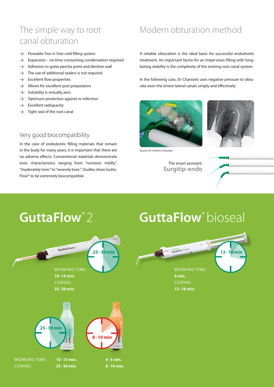# The simple way to root canal obturation

- $\rightarrow$  Flowable Two in One cold filling system
- $\rightarrow$  Expansion no time-consuming condensation required
- $\rightarrow$  Adhesion to gutta-percha point and dentine wall
- $\rightarrow$  The use of additional sealers is not required
- $\rightarrow$  Excellent flow properties
- $\rightarrow$  Allows for excellent post preparation
- $\rightarrow$  Solubility is virtually zero
- $\rightarrow$  Optimum protection against re-infection
- $\rightarrow$  Excellent radiopacity
- $\rightarrow$  Tight seal of the root canal

## Very good biocompatibility

In the case of endodontic filling materials that remain in the body for many years, it is important that there are no adverse effects. Conventional materials demonstrate toxic characteristics ranging from "nontoxic mildly", "moderately toxic" to "severely toxic". Studies show Gutta-Flow® to be extremely biocompatible.

CURING: **25-30 min. 8-10 min.**

# Modern obturation method

A reliable obturation is the ideal basis for successful endodontic treatment. An important factor for an impervious filling with longlasting stability is the complexity of the existing root canal system.

In the following case, Dr Chaniotis uses negative pressure to obturate even the tiniest lateral canals simply and effectively:





Source: Dr. Antonis Chaniotis

The smart assistant: **Surgitip-endo**



# **GuttaFlow**® 2 **GuttaFlow**® bioseal GuttaFlow? 25-30 min **12-16 min** WORKING TIME: WORKING TIME: **10-15 min. 5 min.** CURING: CURING: **25-30 min. 12-16 min. 25-30min 8-10 min** WORKING TIME: **10-15 min. 4-5 min.**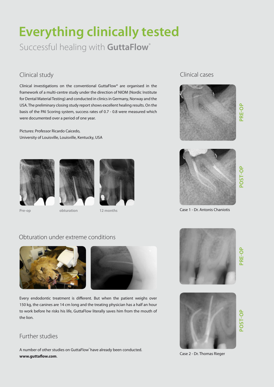# **Everything clinically tested**

Successful healing with **GuttaFlow**®

## Clinical study

Clinical investigations on the conventional GuttaFlow® are organised in the framework of a multi-centre study under the direction of NIOM (Nordic Institute for Dental Material Testing) and conducted in clinics in Germany, Norway and the USA. The preliminary closing study report shows excellent healing results. On the basis of the PAI Scoring system, success rates of 0.7 - 0.8 were measured which were documented over a period of one year.

Pictures: Professor Ricardo Caicedo, University of Louisville, Louisville, Kentucky, USA







**Pre-op** obturation 12 months

## Clinical cases



**PRE-OP**



Case 1 - Dr. Antonis Chaniotis

## Obturation under extreme conditions



Every endodontic treatment is different. But when the patient weighs over 150 kg, the canines are 14 cm long and the treating physician has a half an hour to work before he risks his life, GuttaFlow literally saves him from the mouth of the lion.

## Further studies

A number of other studies on GuttaFlow have already been conducted. **www.guttaflow.com**. Case 2 - Dr. Thomas Rieger



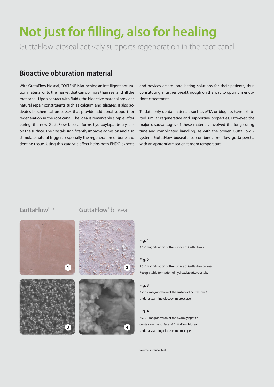# **Not just for filling, also for healing**

GuttaFlow bioseal actively supports regeneration in the root canal

## **Bioactive obturation material**

With GuttaFlow bioseal, COLTENE is launching an intelligent obturation material onto the market that can do more than seal and fill the root canal. Upon contact with fluids, the bioactive material provides natural repair constituents such as calcium and silicates. It also activates biochemical processes that provide additional support for regeneration in the root canal. The idea is remarkably simple: after curing, the new GuttaFlow bioseal forms hydroxylapatite crystals on the surface. The crystals significantly improve adhesion and also stimulate natural triggers, especially the regeneration of bone and dentine tissue. Using this catalytic effect helps both ENDO experts

and novices create long-lasting solutions for their patients, thus constituting a further breakthrough on the way to optimum endodontic treatment.

To date only dental materials such as MTA or bioglass have exhibited similar regenerative and supportive properties. However, the major disadvantages of these materials involved the long curing time and complicated handling. As with the proven GuttaFlow 2 system, GuttaFlow bioseal also combines free-flow gutta-percha with an appropriate sealer at room temperature.

### **GuttaFlow®** 2







#### **Fig. 1**

3.5× magnification of the surface of GuttaFlow 2

#### **Fig. 2**

3.5× magnification of the surface of GuttaFlow bioseal. Recognisable formation of hydroxylapatite crystals.

#### **Fig. 3**

2500× magnification of the surface of GuttaFlow 2 under a scanning electron microscope.

#### **Fig. 4**

2500× magnification of the hydroxylapatite crystals on the surface of GuttaFlow bioseal under a scanning electron microscope.

```
Source: internal tests
```